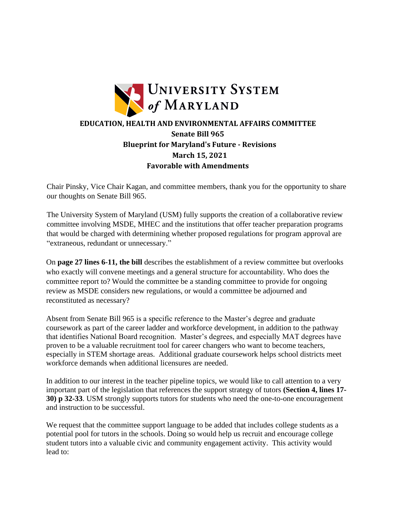

Chair Pinsky, Vice Chair Kagan, and committee members, thank you for the opportunity to share our thoughts on Senate Bill 965.

The University System of Maryland (USM) fully supports the creation of a collaborative review committee involving MSDE, MHEC and the institutions that offer teacher preparation programs that would be charged with determining whether proposed regulations for program approval are "extraneous, redundant or unnecessary."

On **page 27 lines 6-11, the bill** describes the establishment of a review committee but overlooks who exactly will convene meetings and a general structure for accountability. Who does the committee report to? Would the committee be a standing committee to provide for ongoing review as MSDE considers new regulations, or would a committee be adjourned and reconstituted as necessary?

Absent from Senate Bill 965 is a specific reference to the Master's degree and graduate coursework as part of the career ladder and workforce development, in addition to the pathway that identifies National Board recognition. Master's degrees, and especially MAT degrees have proven to be a valuable recruitment tool for career changers who want to become teachers, especially in STEM shortage areas. Additional graduate coursework helps school districts meet workforce demands when additional licensures are needed.

In addition to our interest in the teacher pipeline topics, we would like to call attention to a very important part of the legislation that references the support strategy of tutors **(Section 4, lines 17- 30) p 32-33**. USM strongly supports tutors for students who need the one-to-one encouragement and instruction to be successful.

We request that the committee support language to be added that includes college students as a potential pool for tutors in the schools. Doing so would help us recruit and encourage college student tutors into a valuable civic and community engagement activity. This activity would lead to: